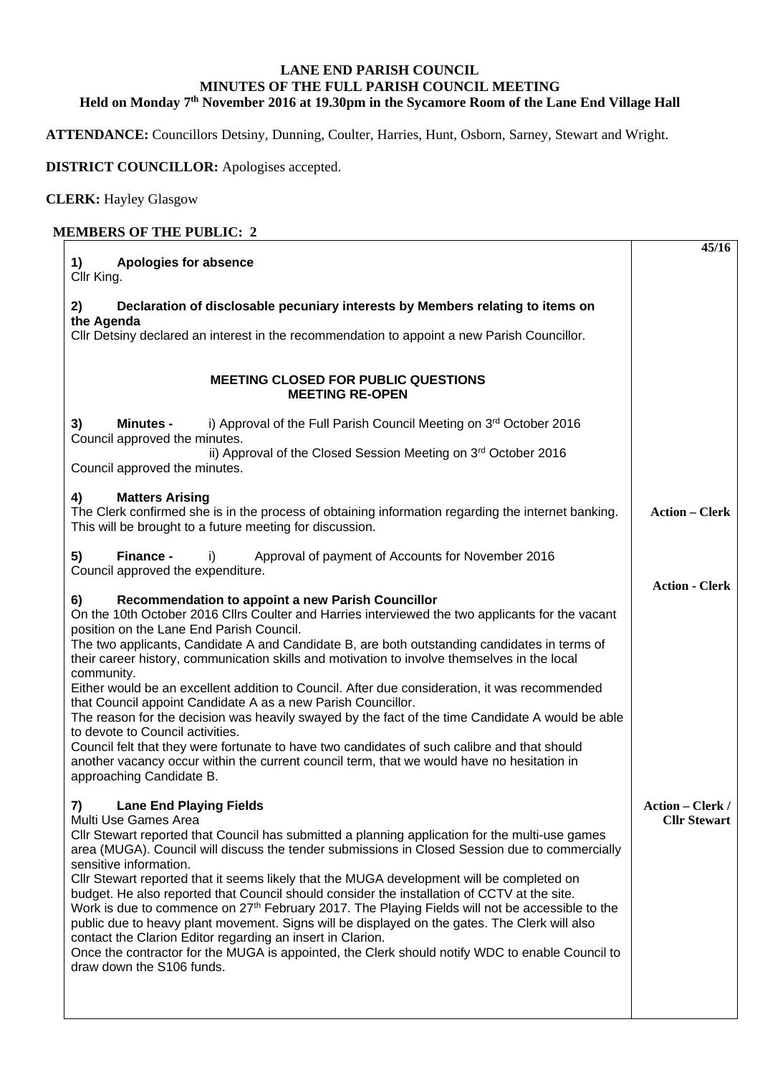## **LANE END PARISH COUNCIL MINUTES OF THE FULL PARISH COUNCIL MEETING Held on Monday 7th November 2016 at 19.30pm in the Sycamore Room of the Lane End Village Hall**

**ATTENDANCE:** Councillors Detsiny, Dunning, Coulter, Harries, Hunt, Osborn, Sarney, Stewart and Wright.

**DISTRICT COUNCILLOR:** Apologises accepted.

**CLERK:** Hayley Glasgow

## **MEMBERS OF THE PUBLIC: 2**

| <b>Apologies for absence</b><br>1)<br>Cllr King.                                                                                                                                                           | 45/16                   |
|------------------------------------------------------------------------------------------------------------------------------------------------------------------------------------------------------------|-------------------------|
| Declaration of disclosable pecuniary interests by Members relating to items on<br>2)                                                                                                                       |                         |
| the Agenda<br>Cllr Detsiny declared an interest in the recommendation to appoint a new Parish Councillor.                                                                                                  |                         |
| <b>MEETING CLOSED FOR PUBLIC QUESTIONS</b><br><b>MEETING RE-OPEN</b>                                                                                                                                       |                         |
| i) Approval of the Full Parish Council Meeting on 3rd October 2016<br>3)<br><b>Minutes -</b>                                                                                                               |                         |
| Council approved the minutes.<br>ii) Approval of the Closed Session Meeting on 3rd October 2016<br>Council approved the minutes.                                                                           |                         |
| <b>Matters Arising</b><br>4)                                                                                                                                                                               |                         |
| The Clerk confirmed she is in the process of obtaining information regarding the internet banking.<br>This will be brought to a future meeting for discussion.                                             | <b>Action – Clerk</b>   |
| 5)<br>Finance -<br>Approval of payment of Accounts for November 2016<br>i)                                                                                                                                 |                         |
| Council approved the expenditure.                                                                                                                                                                          | <b>Action - Clerk</b>   |
| 6)<br>Recommendation to appoint a new Parish Councillor<br>On the 10th October 2016 Cllrs Coulter and Harries interviewed the two applicants for the vacant                                                |                         |
| position on the Lane End Parish Council.                                                                                                                                                                   |                         |
| The two applicants, Candidate A and Candidate B, are both outstanding candidates in terms of<br>their career history, communication skills and motivation to involve themselves in the local<br>community. |                         |
| Either would be an excellent addition to Council. After due consideration, it was recommended                                                                                                              |                         |
| that Council appoint Candidate A as a new Parish Councillor.<br>The reason for the decision was heavily swayed by the fact of the time Candidate A would be able                                           |                         |
| to devote to Council activities.<br>Council felt that they were fortunate to have two candidates of such calibre and that should                                                                           |                         |
| another vacancy occur within the current council term, that we would have no hesitation in<br>approaching Candidate B.                                                                                     |                         |
| <b>Lane End Playing Fields</b><br>7)                                                                                                                                                                       | <b>Action – Clerk /</b> |
| Multi Use Games Area<br>CIIr Stewart reported that Council has submitted a planning application for the multi-use games                                                                                    | <b>Cllr Stewart</b>     |
| area (MUGA). Council will discuss the tender submissions in Closed Session due to commercially<br>sensitive information.                                                                                   |                         |
| CIIr Stewart reported that it seems likely that the MUGA development will be completed on                                                                                                                  |                         |
| budget. He also reported that Council should consider the installation of CCTV at the site.<br>Work is due to commence on 27 <sup>th</sup> February 2017. The Playing Fields will not be accessible to the |                         |
| public due to heavy plant movement. Signs will be displayed on the gates. The Clerk will also<br>contact the Clarion Editor regarding an insert in Clarion.                                                |                         |
| Once the contractor for the MUGA is appointed, the Clerk should notify WDC to enable Council to<br>draw down the S106 funds.                                                                               |                         |
|                                                                                                                                                                                                            |                         |
|                                                                                                                                                                                                            |                         |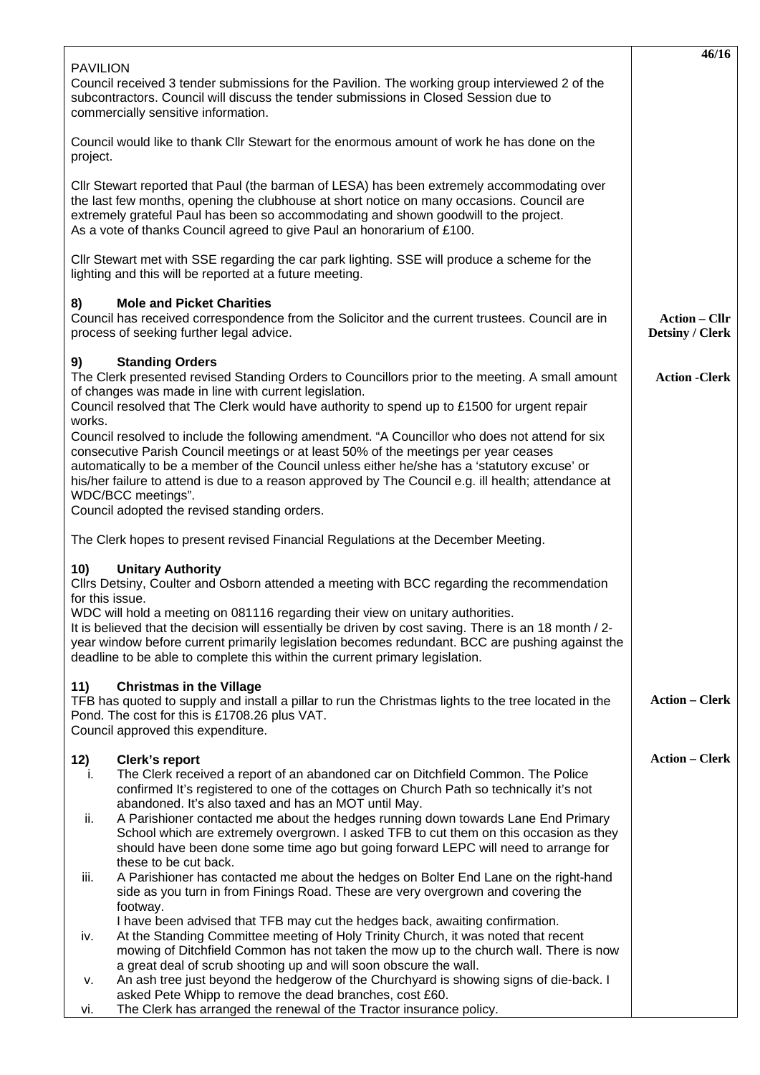|                                                                                                                                                                                                                                                                                                                                                                                                                                                                                                                                                                                                                                                                                                                                                                                                                                                                                                                                                                                                                                                                                                                                                                                                                                                                                                                                                              | 46/16                                          |
|--------------------------------------------------------------------------------------------------------------------------------------------------------------------------------------------------------------------------------------------------------------------------------------------------------------------------------------------------------------------------------------------------------------------------------------------------------------------------------------------------------------------------------------------------------------------------------------------------------------------------------------------------------------------------------------------------------------------------------------------------------------------------------------------------------------------------------------------------------------------------------------------------------------------------------------------------------------------------------------------------------------------------------------------------------------------------------------------------------------------------------------------------------------------------------------------------------------------------------------------------------------------------------------------------------------------------------------------------------------|------------------------------------------------|
| <b>PAVILION</b><br>Council received 3 tender submissions for the Pavilion. The working group interviewed 2 of the<br>subcontractors. Council will discuss the tender submissions in Closed Session due to<br>commercially sensitive information.                                                                                                                                                                                                                                                                                                                                                                                                                                                                                                                                                                                                                                                                                                                                                                                                                                                                                                                                                                                                                                                                                                             |                                                |
| Council would like to thank Cllr Stewart for the enormous amount of work he has done on the<br>project.                                                                                                                                                                                                                                                                                                                                                                                                                                                                                                                                                                                                                                                                                                                                                                                                                                                                                                                                                                                                                                                                                                                                                                                                                                                      |                                                |
| Cllr Stewart reported that Paul (the barman of LESA) has been extremely accommodating over<br>the last few months, opening the clubhouse at short notice on many occasions. Council are<br>extremely grateful Paul has been so accommodating and shown goodwill to the project.<br>As a vote of thanks Council agreed to give Paul an honorarium of £100.                                                                                                                                                                                                                                                                                                                                                                                                                                                                                                                                                                                                                                                                                                                                                                                                                                                                                                                                                                                                    |                                                |
| CIIr Stewart met with SSE regarding the car park lighting. SSE will produce a scheme for the<br>lighting and this will be reported at a future meeting.                                                                                                                                                                                                                                                                                                                                                                                                                                                                                                                                                                                                                                                                                                                                                                                                                                                                                                                                                                                                                                                                                                                                                                                                      |                                                |
| <b>Mole and Picket Charities</b><br>8)<br>Council has received correspondence from the Solicitor and the current trustees. Council are in<br>process of seeking further legal advice.                                                                                                                                                                                                                                                                                                                                                                                                                                                                                                                                                                                                                                                                                                                                                                                                                                                                                                                                                                                                                                                                                                                                                                        | <b>Action – Cllr</b><br><b>Detsiny / Clerk</b> |
| 9)<br><b>Standing Orders</b><br>The Clerk presented revised Standing Orders to Councillors prior to the meeting. A small amount<br>of changes was made in line with current legislation.<br>Council resolved that The Clerk would have authority to spend up to £1500 for urgent repair<br>works.<br>Council resolved to include the following amendment. "A Councillor who does not attend for six<br>consecutive Parish Council meetings or at least 50% of the meetings per year ceases<br>automatically to be a member of the Council unless either he/she has a 'statutory excuse' or<br>his/her failure to attend is due to a reason approved by The Council e.g. ill health; attendance at<br>WDC/BCC meetings".<br>Council adopted the revised standing orders.                                                                                                                                                                                                                                                                                                                                                                                                                                                                                                                                                                                      | <b>Action - Clerk</b>                          |
| The Clerk hopes to present revised Financial Regulations at the December Meeting.                                                                                                                                                                                                                                                                                                                                                                                                                                                                                                                                                                                                                                                                                                                                                                                                                                                                                                                                                                                                                                                                                                                                                                                                                                                                            |                                                |
| 10)<br><b>Unitary Authority</b><br>Cllrs Detsiny, Coulter and Osborn attended a meeting with BCC regarding the recommendation<br>for this issue.<br>WDC will hold a meeting on 081116 regarding their view on unitary authorities.<br>It is believed that the decision will essentially be driven by cost saving. There is an 18 month / 2-<br>year window before current primarily legislation becomes redundant. BCC are pushing against the<br>deadline to be able to complete this within the current primary legislation.                                                                                                                                                                                                                                                                                                                                                                                                                                                                                                                                                                                                                                                                                                                                                                                                                               |                                                |
| <b>Christmas in the Village</b><br>11)<br>TFB has quoted to supply and install a pillar to run the Christmas lights to the tree located in the<br>Pond. The cost for this is £1708.26 plus VAT.<br>Council approved this expenditure.                                                                                                                                                                                                                                                                                                                                                                                                                                                                                                                                                                                                                                                                                                                                                                                                                                                                                                                                                                                                                                                                                                                        | <b>Action – Clerk</b>                          |
| 12)<br>Clerk's report<br>The Clerk received a report of an abandoned car on Ditchfield Common. The Police<br>j.<br>confirmed It's registered to one of the cottages on Church Path so technically it's not<br>abandoned. It's also taxed and has an MOT until May.<br>A Parishioner contacted me about the hedges running down towards Lane End Primary<br>ii.<br>School which are extremely overgrown. I asked TFB to cut them on this occasion as they<br>should have been done some time ago but going forward LEPC will need to arrange for<br>these to be cut back.<br>A Parishioner has contacted me about the hedges on Bolter End Lane on the right-hand<br>iii.<br>side as you turn in from Finings Road. These are very overgrown and covering the<br>footway.<br>I have been advised that TFB may cut the hedges back, awaiting confirmation.<br>At the Standing Committee meeting of Holy Trinity Church, it was noted that recent<br>iv.<br>mowing of Ditchfield Common has not taken the mow up to the church wall. There is now<br>a great deal of scrub shooting up and will soon obscure the wall.<br>An ash tree just beyond the hedgerow of the Churchyard is showing signs of die-back. I<br>۷.<br>asked Pete Whipp to remove the dead branches, cost £60.<br>The Clerk has arranged the renewal of the Tractor insurance policy.<br>vi. | <b>Action - Clerk</b>                          |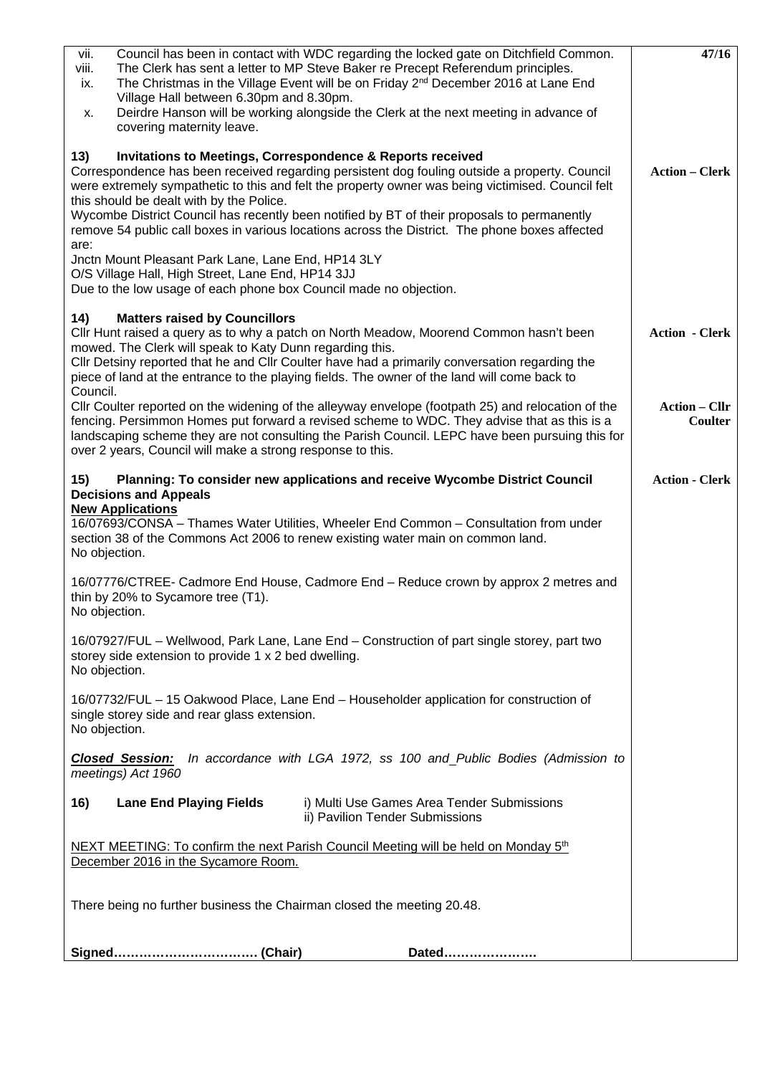| Council has been in contact with WDC regarding the locked gate on Ditchfield Common.<br>vii.                                                                                                      | 47/16                                  |
|---------------------------------------------------------------------------------------------------------------------------------------------------------------------------------------------------|----------------------------------------|
| The Clerk has sent a letter to MP Steve Baker re Precept Referendum principles.<br>viii.                                                                                                          |                                        |
| The Christmas in the Village Event will be on Friday 2 <sup>nd</sup> December 2016 at Lane End<br>ix.<br>Village Hall between 6.30pm and 8.30pm.                                                  |                                        |
| Deirdre Hanson will be working alongside the Clerk at the next meeting in advance of<br>х.                                                                                                        |                                        |
| covering maternity leave.                                                                                                                                                                         |                                        |
|                                                                                                                                                                                                   |                                        |
| <b>Invitations to Meetings, Correspondence &amp; Reports received</b><br>13)<br>Correspondence has been received regarding persistent dog fouling outside a property. Council                     | <b>Action – Clerk</b>                  |
| were extremely sympathetic to this and felt the property owner was being victimised. Council felt                                                                                                 |                                        |
| this should be dealt with by the Police.                                                                                                                                                          |                                        |
| Wycombe District Council has recently been notified by BT of their proposals to permanently                                                                                                       |                                        |
| remove 54 public call boxes in various locations across the District. The phone boxes affected                                                                                                    |                                        |
| are:<br>Jnctn Mount Pleasant Park Lane, Lane End, HP14 3LY                                                                                                                                        |                                        |
| O/S Village Hall, High Street, Lane End, HP14 3JJ                                                                                                                                                 |                                        |
| Due to the low usage of each phone box Council made no objection.                                                                                                                                 |                                        |
|                                                                                                                                                                                                   |                                        |
| 14)<br><b>Matters raised by Councillors</b><br>Cllr Hunt raised a query as to why a patch on North Meadow, Moorend Common hasn't been                                                             | <b>Action - Clerk</b>                  |
| mowed. The Clerk will speak to Katy Dunn regarding this.                                                                                                                                          |                                        |
| Cllr Detsiny reported that he and Cllr Coulter have had a primarily conversation regarding the                                                                                                    |                                        |
| piece of land at the entrance to the playing fields. The owner of the land will come back to                                                                                                      |                                        |
| Council.                                                                                                                                                                                          |                                        |
| Cllr Coulter reported on the widening of the alleyway envelope (footpath 25) and relocation of the<br>fencing. Persimmon Homes put forward a revised scheme to WDC. They advise that as this is a | <b>Action – Cllr</b><br><b>Coulter</b> |
| landscaping scheme they are not consulting the Parish Council. LEPC have been pursuing this for                                                                                                   |                                        |
| over 2 years, Council will make a strong response to this.                                                                                                                                        |                                        |
|                                                                                                                                                                                                   |                                        |
| Planning: To consider new applications and receive Wycombe District Council<br>15)<br><b>Decisions and Appeals</b>                                                                                | <b>Action - Clerk</b>                  |
| <b>New Applications</b>                                                                                                                                                                           |                                        |
| 16/07693/CONSA - Thames Water Utilities, Wheeler End Common - Consultation from under                                                                                                             |                                        |
| section 38 of the Commons Act 2006 to renew existing water main on common land.                                                                                                                   |                                        |
| No objection.                                                                                                                                                                                     |                                        |
| 16/07776/CTREE- Cadmore End House, Cadmore End - Reduce crown by approx 2 metres and                                                                                                              |                                        |
| thin by 20% to Sycamore tree (T1).                                                                                                                                                                |                                        |
| No objection.                                                                                                                                                                                     |                                        |
|                                                                                                                                                                                                   |                                        |
| 16/07927/FUL – Wellwood, Park Lane, Lane End – Construction of part single storey, part two<br>storey side extension to provide 1 x 2 bed dwelling.                                               |                                        |
| No objection.                                                                                                                                                                                     |                                        |
|                                                                                                                                                                                                   |                                        |
| 16/07732/FUL - 15 Oakwood Place, Lane End - Householder application for construction of                                                                                                           |                                        |
| single storey side and rear glass extension.<br>No objection.                                                                                                                                     |                                        |
|                                                                                                                                                                                                   |                                        |
| In accordance with LGA 1972, ss 100 and_Public Bodies (Admission to<br><b>Closed Session:</b>                                                                                                     |                                        |
| meetings) Act 1960                                                                                                                                                                                |                                        |
| i) Multi Use Games Area Tender Submissions<br>16)<br><b>Lane End Playing Fields</b>                                                                                                               |                                        |
| ii) Pavilion Tender Submissions                                                                                                                                                                   |                                        |
| NEXT MEETING: To confirm the next Parish Council Meeting will be held on Monday 5 <sup>th</sup>                                                                                                   |                                        |
| December 2016 in the Sycamore Room.                                                                                                                                                               |                                        |
|                                                                                                                                                                                                   |                                        |
|                                                                                                                                                                                                   |                                        |
| There being no further business the Chairman closed the meeting 20.48.                                                                                                                            |                                        |
|                                                                                                                                                                                                   |                                        |
| Dated                                                                                                                                                                                             |                                        |
|                                                                                                                                                                                                   |                                        |